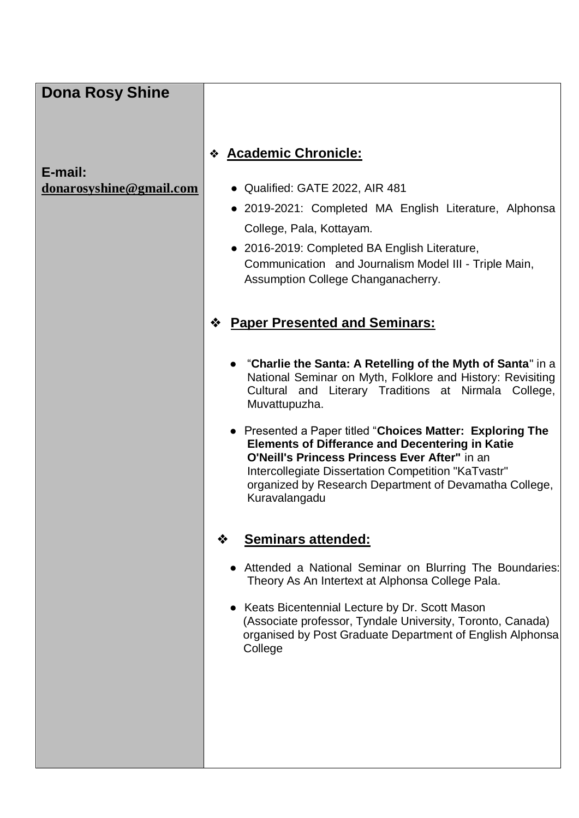| <b>Academic Chronicle:</b><br>❖<br>• Qualified: GATE 2022, AIR 481<br>· 2019-2021: Completed MA English Literature, Alphonsa<br>College, Pala, Kottayam.<br>• 2016-2019: Completed BA English Literature,<br>Communication and Journalism Model III - Triple Main,<br>Assumption College Changanacherry.<br><b>Paper Presented and Seminars:</b><br>❖<br>• "Charlie the Santa: A Retelling of the Myth of Santa" in a                         |
|-----------------------------------------------------------------------------------------------------------------------------------------------------------------------------------------------------------------------------------------------------------------------------------------------------------------------------------------------------------------------------------------------------------------------------------------------|
| National Seminar on Myth, Folklore and History: Revisiting<br>Cultural and Literary Traditions at Nirmala College,<br>Muvattupuzha.<br>• Presented a Paper titled "Choices Matter: Exploring The<br><b>Elements of Differance and Decentering in Katie</b><br>O'Neill's Princess Princess Ever After" in an<br>Intercollegiate Dissertation Competition "KaTvastr"<br>organized by Research Department of Devamatha College,<br>Kuravalangadu |
| <b>Seminars attended:</b>                                                                                                                                                                                                                                                                                                                                                                                                                     |
| • Attended a National Seminar on Blurring The Boundaries:<br>Theory As An Intertext at Alphonsa College Pala.                                                                                                                                                                                                                                                                                                                                 |
| Keats Bicentennial Lecture by Dr. Scott Mason<br>(Associate professor, Tyndale University, Toronto, Canada)<br>organised by Post Graduate Department of English Alphonsa<br>College                                                                                                                                                                                                                                                           |
|                                                                                                                                                                                                                                                                                                                                                                                                                                               |